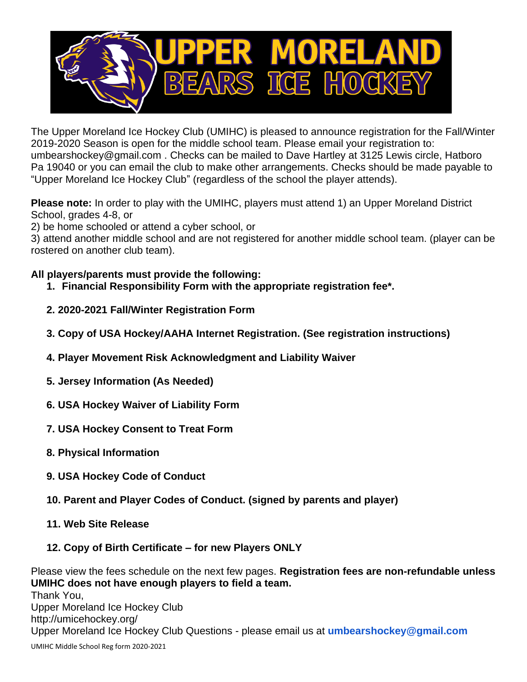

The Upper Moreland Ice Hockey Club (UMIHC) is pleased to announce registration for the Fall/Winter 2019-2020 Season is open for the middle school team. Please email your registration to: umbearshockey@gmail.com . Checks can be mailed to Dave Hartley at 3125 Lewis circle, Hatboro Pa 19040 or you can email the club to make other arrangements. Checks should be made payable to "Upper Moreland Ice Hockey Club" (regardless of the school the player attends).

**Please note:** In order to play with the UMIHC, players must attend 1) an Upper Moreland District School, grades 4-8, or

2) be home schooled or attend a cyber school, or

3) attend another middle school and are not registered for another middle school team. (player can be rostered on another club team).

### **All players/parents must provide the following:**

- **1. Financial Responsibility Form with the appropriate registration fee\*.**
- **2. 2020-2021 Fall/Winter Registration Form**
- **3. Copy of USA Hockey/AAHA Internet Registration. (See registration instructions)**
- **4. Player Movement Risk Acknowledgment and Liability Waiver**
- **5. Jersey Information (As Needed)**
- **6. USA Hockey Waiver of Liability Form**
- **7. USA Hockey Consent to Treat Form**
- **8. Physical Information**
- **9. USA Hockey Code of Conduct**
- **10. Parent and Player Codes of Conduct. (signed by parents and player)**
- **11. Web Site Release**

### **12. Copy of Birth Certificate – for new Players ONLY**

Please view the fees schedule on the next few pages. **Registration fees are non-refundable unless UMIHC does not have enough players to field a team.** Thank You, Upper Moreland Ice Hockey Club http://umicehockey.org/ Upper Moreland Ice Hockey Club Questions - please email us at **umbearshockey@gmail.com**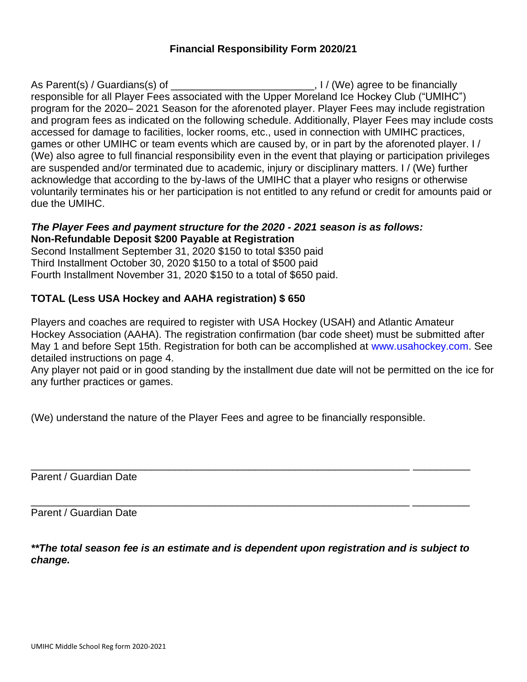### **Financial Responsibility Form 2020/21**

As Parent(s) / Guardians(s) of \_\_\_\_\_\_\_\_\_\_\_\_\_\_\_\_\_\_\_\_\_\_\_\_\_\_\_\_\_\_\_, I / (We) agree to be financially responsible for all Player Fees associated with the Upper Moreland Ice Hockey Club ("UMIHC") program for the 2020– 2021 Season for the aforenoted player. Player Fees may include registration and program fees as indicated on the following schedule. Additionally, Player Fees may include costs accessed for damage to facilities, locker rooms, etc., used in connection with UMIHC practices, games or other UMIHC or team events which are caused by, or in part by the aforenoted player. I / (We) also agree to full financial responsibility even in the event that playing or participation privileges are suspended and/or terminated due to academic, injury or disciplinary matters. I / (We) further acknowledge that according to the by-laws of the UMIHC that a player who resigns or otherwise voluntarily terminates his or her participation is not entitled to any refund or credit for amounts paid or due the UMIHC.

### *The Player Fees and payment structure for the 2020 - 2021 season is as follows:* **Non-Refundable Deposit \$200 Payable at Registration**

Second Installment September 31, 2020 \$150 to total \$350 paid Third Installment October 30, 2020 \$150 to a total of \$500 paid Fourth Installment November 31, 2020 \$150 to a total of \$650 paid.

### **TOTAL (Less USA Hockey and AAHA registration) \$ 650**

Players and coaches are required to register with USA Hockey (USAH) and Atlantic Amateur Hockey Association (AAHA). The registration confirmation (bar code sheet) must be submitted after May 1 and before Sept 15th. Registration for both can be accomplished at www.usahockey.com. See detailed instructions on page 4.

Any player not paid or in good standing by the installment due date will not be permitted on the ice for any further practices or games.

(We) understand the nature of the Player Fees and agree to be financially responsible.

Parent / Guardian Date

Parent / Guardian Date

*\*\*The total season fee is an estimate and is dependent upon registration and is subject to change.*

\_\_\_\_\_\_\_\_\_\_\_\_\_\_\_\_\_\_\_\_\_\_\_\_\_\_\_\_\_\_\_\_\_\_\_\_\_\_\_\_\_\_\_\_\_\_\_\_\_\_\_\_\_\_\_\_\_\_\_\_\_\_\_\_\_\_ \_\_\_\_\_\_\_\_\_\_

\_\_\_\_\_\_\_\_\_\_\_\_\_\_\_\_\_\_\_\_\_\_\_\_\_\_\_\_\_\_\_\_\_\_\_\_\_\_\_\_\_\_\_\_\_\_\_\_\_\_\_\_\_\_\_\_\_\_\_\_\_\_\_\_\_\_ \_\_\_\_\_\_\_\_\_\_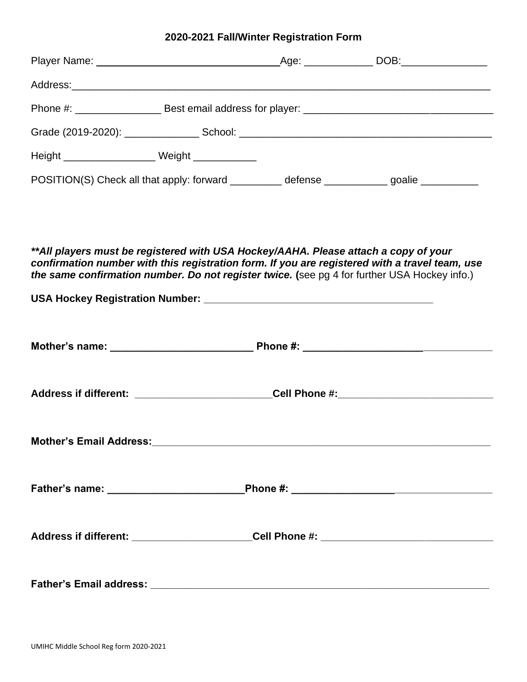### **2020-2021 Fall/Winter Registration Form**

| Height ___________________________ Weight ______________                                      |  |  |
|-----------------------------------------------------------------------------------------------|--|--|
| POSITION(S) Check all that apply: forward ____________ defense ____________ goalie __________ |  |  |

*\*\*All players must be registered with USA Hockey/AAHA. Please attach a copy of your confirmation number with this registration form. If you are registered with a travel team, use*  **the same confirmation number. Do not register twice. (see pg 4 for further USA Hockey info.)** 

|  | Address if different: _________________________Cell Phone #:____________________ |  |
|--|----------------------------------------------------------------------------------|--|
|  |                                                                                  |  |
|  |                                                                                  |  |
|  |                                                                                  |  |
|  |                                                                                  |  |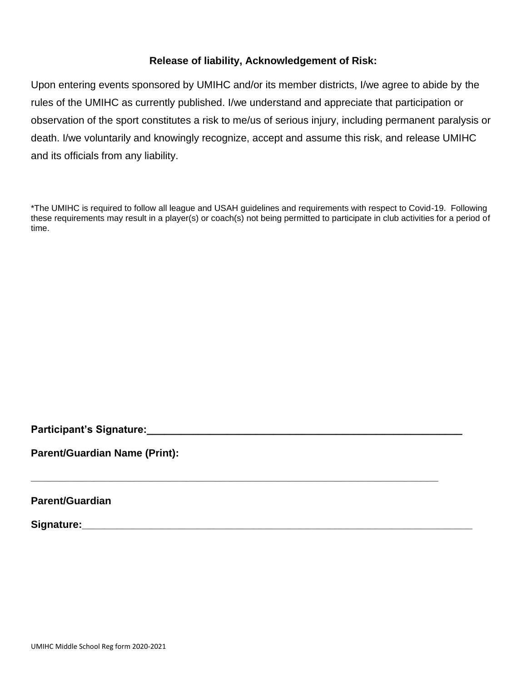### **Release of liability, Acknowledgement of Risk:**

Upon entering events sponsored by UMIHC and/or its member districts, I/we agree to abide by the rules of the UMIHC as currently published. I/we understand and appreciate that participation or observation of the sport constitutes a risk to me/us of serious injury, including permanent paralysis or death. I/we voluntarily and knowingly recognize, accept and assume this risk, and release UMIHC and its officials from any liability.

\*The UMIHC is required to follow all league and USAH guidelines and requirements with respect to Covid-19. Following these requirements may result in a player(s) or coach(s) not being permitted to participate in club activities for a period of time.

**\_\_\_\_\_\_\_\_\_\_\_\_\_\_\_\_\_\_\_\_\_\_\_\_\_\_\_\_\_\_\_\_\_\_\_\_\_\_\_\_\_\_\_\_\_\_\_\_\_\_\_\_\_\_\_\_\_\_\_\_\_\_\_\_\_\_\_\_\_\_\_**

**Participant's Signature: Constant in the set of the set of the set of the set of the set of the set of the set of the set of the set of the set of the set of the set of the set of the set of the set of the set of the se** 

**Parent/Guardian Name (Print):**

**Parent/Guardian**

**Signature:\_\_\_\_\_\_\_\_\_\_\_\_\_\_\_\_\_\_\_\_\_\_\_\_\_\_\_\_\_\_\_\_\_\_\_\_\_\_\_\_\_\_\_\_\_\_\_\_\_\_\_\_\_\_\_\_\_\_\_\_\_\_\_\_\_\_\_\_**

UMIHC Middle School Reg form 2020-2021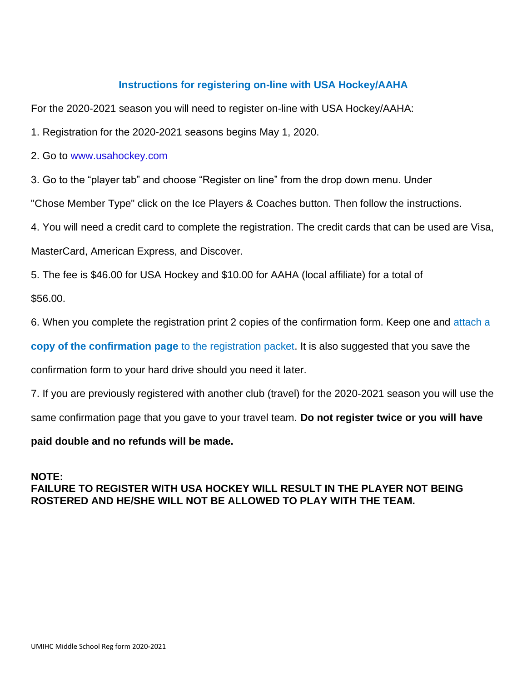### **Instructions for registering on-line with USA Hockey/AAHA**

For the 2020-2021 season you will need to register on-line with USA Hockey/AAHA:

1. Registration for the 2020-2021 seasons begins May 1, 2020.

2. Go to www.usahockey.com

3. Go to the "player tab" and choose "Register on line" from the drop down menu. Under

"Chose Member Type" click on the Ice Players & Coaches button. Then follow the instructions.

4. You will need a credit card to complete the registration. The credit cards that can be used are Visa,

MasterCard, American Express, and Discover.

5. The fee is \$46.00 for USA Hockey and \$10.00 for AAHA (local affiliate) for a total of

\$56.00.

6. When you complete the registration print 2 copies of the confirmation form. Keep one and attach a

**copy of the confirmation page** to the registration packet. It is also suggested that you save the

confirmation form to your hard drive should you need it later.

7. If you are previously registered with another club (travel) for the 2020-2021 season you will use the

same confirmation page that you gave to your travel team. **Do not register twice or you will have** 

### **paid double and no refunds will be made.**

# **NOTE:**

## **FAILURE TO REGISTER WITH USA HOCKEY WILL RESULT IN THE PLAYER NOT BEING ROSTERED AND HE/SHE WILL NOT BE ALLOWED TO PLAY WITH THE TEAM.**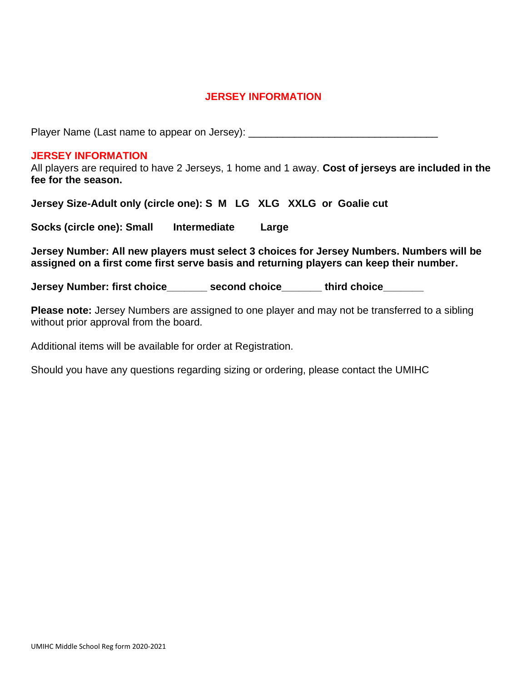### **JERSEY INFORMATION**

Player Name (Last name to appear on Jersey): \_\_\_\_\_\_\_\_\_\_\_\_\_\_\_\_\_\_\_\_\_\_\_\_\_\_\_\_\_\_\_\_\_\_\_

#### **JERSEY INFORMATION**

All players are required to have 2 Jerseys, 1 home and 1 away. **Cost of jerseys are included in the fee for the season.** 

**Jersey Size-Adult only (circle one): S M LG XLG XXLG or Goalie cut**

**Socks (circle one): Small Intermediate Large**

**Jersey Number: All new players must select 3 choices for Jersey Numbers. Numbers will be assigned on a first come first serve basis and returning players can keep their number.**

**Jersey Number: first choice\_\_\_\_\_\_\_ second choice\_\_\_\_\_\_\_ third choice\_\_\_\_\_\_\_**

**Please note:** Jersey Numbers are assigned to one player and may not be transferred to a sibling without prior approval from the board.

Additional items will be available for order at Registration.

Should you have any questions regarding sizing or ordering, please contact the UMIHC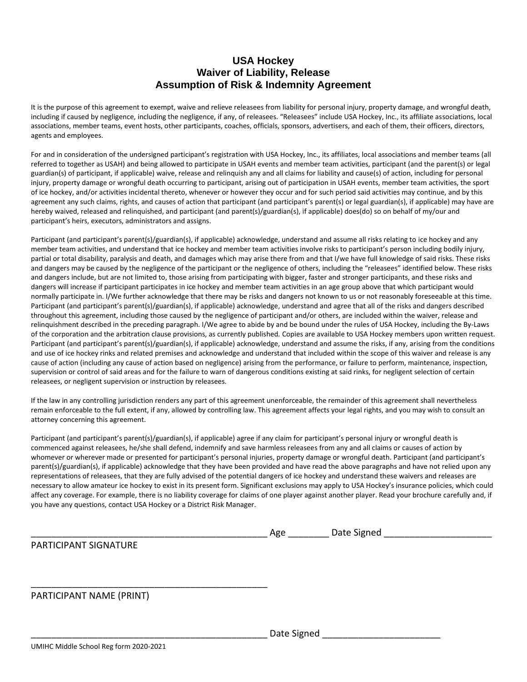### **USA Hockey Waiver of Liability, Release Assumption of Risk & Indemnity Agreement**

It is the purpose of this agreement to exempt, waive and relieve releasees from liability for personal injury, property damage, and wrongful death, including if caused by negligence, including the negligence, if any, of releasees. "Releasees" include USA Hockey, Inc., its affiliate associations, local associations, member teams, event hosts, other participants, coaches, officials, sponsors, advertisers, and each of them, their officers, directors, agents and employees.

For and in consideration of the undersigned participant's registration with USA Hockey, Inc., its affiliates, local associations and member teams (all referred to together as USAH) and being allowed to participate in USAH events and member team activities, participant (and the parent(s) or legal guardian(s) of participant, if applicable) waive, release and relinquish any and all claims for liability and cause(s) of action, including for personal injury, property damage or wrongful death occurring to participant, arising out of participation in USAH events, member team activities, the sport of ice hockey, and/or activities incidental thereto, whenever or however they occur and for such period said activities may continue, and by this agreement any such claims, rights, and causes of action that participant (and participant's parent(s) or legal guardian(s), if applicable) may have are hereby waived, released and relinquished, and participant (and parent(s)/guardian(s), if applicable) does(do) so on behalf of my/our and participant's heirs, executors, administrators and assigns.

Participant (and participant's parent(s)/guardian(s), if applicable) acknowledge, understand and assume all risks relating to ice hockey and any member team activities, and understand that ice hockey and member team activities involve risks to participant's person including bodily injury, partial or total disability, paralysis and death, and damages which may arise there from and that I/we have full knowledge of said risks. These risks and dangers may be caused by the negligence of the participant or the negligence of others, including the "releasees" identified below. These risks and dangers include, but are not limited to, those arising from participating with bigger, faster and stronger participants, and these risks and dangers will increase if participant participates in ice hockey and member team activities in an age group above that which participant would normally participate in. I/We further acknowledge that there may be risks and dangers not known to us or not reasonably foreseeable at this time. Participant (and participant's parent(s)/guardian(s), if applicable) acknowledge, understand and agree that all of the risks and dangers described throughout this agreement, including those caused by the negligence of participant and/or others, are included within the waiver, release and relinquishment described in the preceding paragraph. I/We agree to abide by and be bound under the rules of USA Hockey, including the By-Laws of the corporation and the arbitration clause provisions, as currently published. Copies are available to USA Hockey members upon written request. Participant (and participant's parent(s)/guardian(s), if applicable) acknowledge, understand and assume the risks, if any, arising from the conditions and use of ice hockey rinks and related premises and acknowledge and understand that included within the scope of this waiver and release is any cause of action (including any cause of action based on negligence) arising from the performance, or failure to perform, maintenance, inspection, supervision or control of said areas and for the failure to warn of dangerous conditions existing at said rinks, for negligent selection of certain releasees, or negligent supervision or instruction by releasees.

If the law in any controlling jurisdiction renders any part of this agreement unenforceable, the remainder of this agreement shall nevertheless remain enforceable to the full extent, if any, allowed by controlling law. This agreement affects your legal rights, and you may wish to consult an attorney concerning this agreement.

Participant (and participant's parent(s)/guardian(s), if applicable) agree if any claim for participant's personal injury or wrongful death is commenced against releasees, he/she shall defend, indemnify and save harmless releasees from any and all claims or causes of action by whomever or wherever made or presented for participant's personal injuries, property damage or wrongful death. Participant (and participant's parent(s)/guardian(s), if applicable) acknowledge that they have been provided and have read the above paragraphs and have not relied upon any representations of releasees, that they are fully advised of the potential dangers of ice hockey and understand these waivers and releases are necessary to allow amateur ice hockey to exist in its present form. Significant exclusions may apply to USA Hockey's insurance policies, which could affect any coverage. For example, there is no liability coverage for claims of one player against another player. Read your brochure carefully and, if you have any questions, contact USA Hockey or a District Risk Manager.

| .<br>- 1112<br>יי<br>-<br>ι.<br>. . |  |
|-------------------------------------|--|
|-------------------------------------|--|

PARTICIPANT SIGNATURE

PARTICIPANT NAME (PRINT)

\_\_\_\_\_\_\_\_\_\_\_\_\_\_\_\_\_\_\_\_\_\_\_\_\_\_\_\_\_\_\_\_\_\_\_\_\_\_\_\_\_\_\_\_\_\_

Date Signed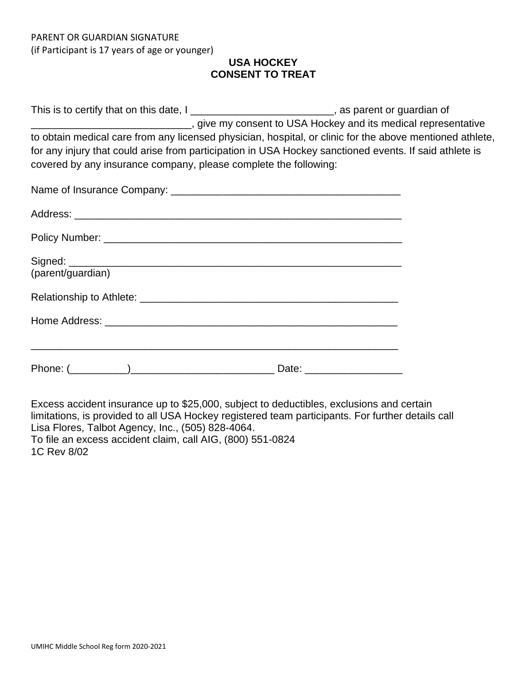### **USA HOCKEY CONSENT TO TREAT**

This is to certify that on this date, I \_\_\_\_\_\_\_\_\_\_\_\_\_\_\_\_\_\_\_\_\_\_\_\_\_\_\_, as parent or guardian of \_\_\_\_\_\_\_\_\_\_\_\_\_\_\_\_\_\_\_\_\_\_\_\_\_\_\_\_, give my consent to USA Hockey and its medical representative to obtain medical care from any licensed physician, hospital, or clinic for the above mentioned athlete, for any injury that could arise from participation in USA Hockey sanctioned events. If said athlete is covered by any insurance company, please complete the following:

| (parent/guardian) |  |
|-------------------|--|
|                   |  |
|                   |  |
|                   |  |

Excess accident insurance up to \$25,000, subject to deductibles, exclusions and certain limitations, is provided to all USA Hockey registered team participants. For further details call Lisa Flores, Talbot Agency, Inc., (505) 828-4064. To file an excess accident claim, call AIG, (800) 551-0824 1C Rev 8/02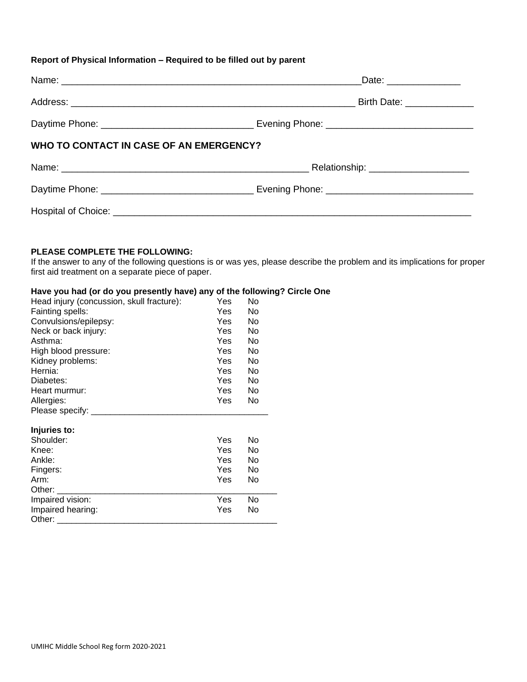#### **Report of Physical Information – Required to be filled out by parent**

|                                         | Date: _______________                                                                               |
|-----------------------------------------|-----------------------------------------------------------------------------------------------------|
|                                         | Birth Date: ______________                                                                          |
|                                         | Daytime Phone: __________________________________ Evening Phone: __________________________________ |
| WHO TO CONTACT IN CASE OF AN EMERGENCY? |                                                                                                     |
|                                         |                                                                                                     |
|                                         | Daytime Phone: ___________________________________ Evening Phone: _________________________________ |
|                                         |                                                                                                     |

#### **PLEASE COMPLETE THE FOLLOWING:**

If the answer to any of the following questions is or was yes, please describe the problem and its implications for proper first aid treatment on a separate piece of paper.

#### **Have you had (or do you presently have) any of the following? Circle One**

| Head injury (concussion, skull fracture): | Yes        | No |  |
|-------------------------------------------|------------|----|--|
| Fainting spells:                          | <b>Yes</b> | No |  |
| Convulsions/epilepsy:                     | Yes        | No |  |
| Neck or back injury:                      | Yes        | No |  |
| Asthma:                                   | Yes        | No |  |
| High blood pressure:                      | Yes        | No |  |
| Kidney problems:                          | Yes        | No |  |
| Hernia:                                   | <b>Yes</b> | No |  |
| Diabetes:                                 | Yes        | No |  |
| Heart murmur:                             | Yes        | No |  |
| Allergies:                                | Yes        | No |  |
| Please specify: __                        |            |    |  |
| Injuries to:                              |            |    |  |
| Shoulder:                                 | Yes        | No |  |
| Knee:                                     | Yes        | No |  |
| Ankle:                                    | Yes        | No |  |
| Fingers:                                  | <b>Yes</b> | No |  |
| Arm:                                      | Yes        | No |  |
| Other:                                    |            |    |  |
| Impaired vision:                          | Yes        | No |  |
| Impaired hearing:                         | Yes        | No |  |
| Other:                                    |            |    |  |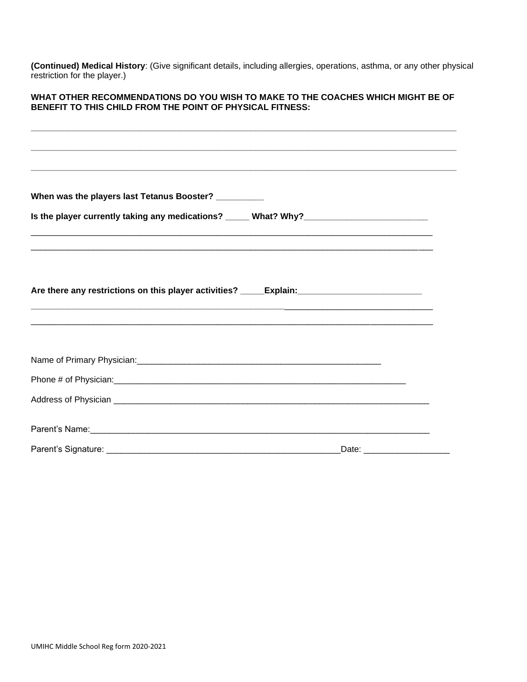**(Continued) Medical History**: (Give significant details, including allergies, operations, asthma, or any other physical restriction for the player.)

#### **WHAT OTHER RECOMMENDATIONS DO YOU WISH TO MAKE TO THE COACHES WHICH MIGHT BE OF BENEFIT TO THIS CHILD FROM THE POINT OF PHYSICAL FITNESS:**

**\_\_\_\_\_\_\_\_\_\_\_\_\_\_\_\_\_\_\_\_\_\_\_\_\_\_\_\_\_\_\_\_\_\_\_\_\_\_\_\_\_\_\_\_\_\_\_\_\_\_\_\_\_\_\_\_\_\_\_\_\_\_\_\_\_\_\_\_\_\_\_\_\_\_\_\_\_\_\_\_\_\_\_\_\_\_\_\_\_**

| When was the players last Tetanus Booster? __________                                                |                                |
|------------------------------------------------------------------------------------------------------|--------------------------------|
|                                                                                                      |                                |
|                                                                                                      |                                |
|                                                                                                      |                                |
| Are there any restrictions on this player activities? _____Explain: ________________________________ |                                |
|                                                                                                      |                                |
|                                                                                                      |                                |
|                                                                                                      |                                |
|                                                                                                      |                                |
|                                                                                                      |                                |
|                                                                                                      |                                |
|                                                                                                      | Date: ________________________ |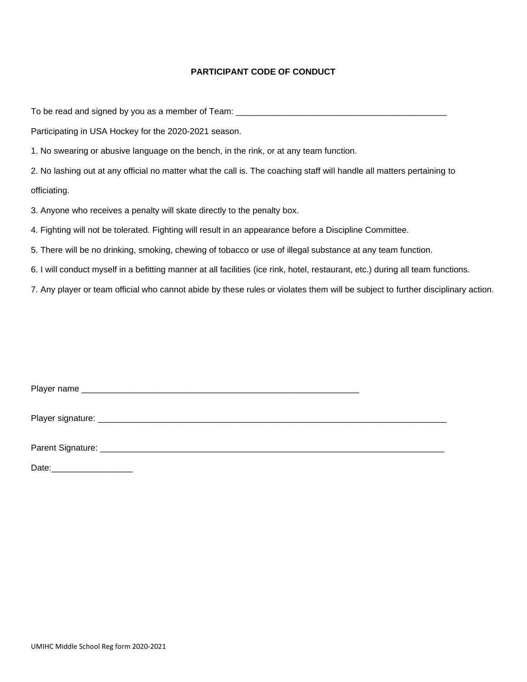#### **PARTICIPANT CODE OF CONDUCT**

To be read and signed by you as a member of Team: \_\_\_\_\_\_\_\_\_\_\_\_\_\_\_\_\_\_\_\_\_\_\_\_\_\_\_\_\_\_\_

Participating in USA Hockey for the 2020-2021 season.

1. No swearing or abusive language on the bench, in the rink, or at any team function.

2. No lashing out at any official no matter what the call is. The coaching staff will handle all matters pertaining to officiating.

3. Anyone who receives a penalty will skate directly to the penalty box.

4. Fighting will not be tolerated. Fighting will result in an appearance before a Discipline Committee.

5. There will be no drinking, smoking, chewing of tobacco or use of illegal substance at any team function.

6. I will conduct myself in a befitting manner at all facilities (ice rink, hotel, restaurant, etc.) during all team functions.

7. Any player or team official who cannot abide by these rules or violates them will be subject to further disciplinary action.

| Date: |  |  |  |
|-------|--|--|--|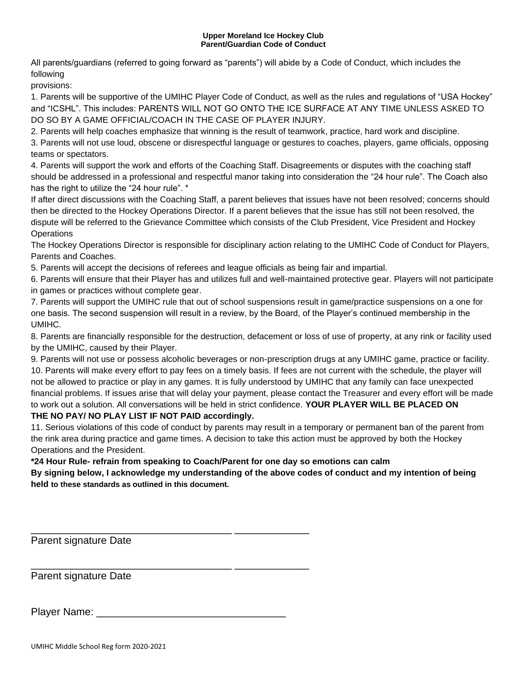#### **Upper Moreland Ice Hockey Club Parent/Guardian Code of Conduct**

All parents/guardians (referred to going forward as "parents") will abide by a Code of Conduct, which includes the following

provisions:

1. Parents will be supportive of the UMIHC Player Code of Conduct, as well as the rules and regulations of "USA Hockey" and "ICSHL". This includes: PARENTS WILL NOT GO ONTO THE ICE SURFACE AT ANY TIME UNLESS ASKED TO DO SO BY A GAME OFFICIAL/COACH IN THE CASE OF PLAYER INJURY.

2. Parents will help coaches emphasize that winning is the result of teamwork, practice, hard work and discipline.

3. Parents will not use loud, obscene or disrespectful language or gestures to coaches, players, game officials, opposing teams or spectators.

4. Parents will support the work and efforts of the Coaching Staff. Disagreements or disputes with the coaching staff should be addressed in a professional and respectful manor taking into consideration the "24 hour rule". The Coach also has the right to utilize the "24 hour rule". \*

If after direct discussions with the Coaching Staff, a parent believes that issues have not been resolved; concerns should then be directed to the Hockey Operations Director. If a parent believes that the issue has still not been resolved, the dispute will be referred to the Grievance Committee which consists of the Club President, Vice President and Hockey **Operations** 

The Hockey Operations Director is responsible for disciplinary action relating to the UMIHC Code of Conduct for Players, Parents and Coaches.

5. Parents will accept the decisions of referees and league officials as being fair and impartial.

6. Parents will ensure that their Player has and utilizes full and well-maintained protective gear. Players will not participate in games or practices without complete gear.

7. Parents will support the UMIHC rule that out of school suspensions result in game/practice suspensions on a one for one basis. The second suspension will result in a review, by the Board, of the Player's continued membership in the UMIHC.

8. Parents are financially responsible for the destruction, defacement or loss of use of property, at any rink or facility used by the UMIHC, caused by their Player.

9. Parents will not use or possess alcoholic beverages or non-prescription drugs at any UMIHC game, practice or facility. 10. Parents will make every effort to pay fees on a timely basis. If fees are not current with the schedule, the player will not be allowed to practice or play in any games. It is fully understood by UMIHC that any family can face unexpected financial problems. If issues arise that will delay your payment, please contact the Treasurer and every effort will be made to work out a solution. All conversations will be held in strict confidence. **YOUR PLAYER WILL BE PLACED ON**

#### **THE NO PAY/ NO PLAY LIST IF NOT PAID accordingly.**

11. Serious violations of this code of conduct by parents may result in a temporary or permanent ban of the parent from the rink area during practice and game times. A decision to take this action must be approved by both the Hockey Operations and the President.

**\*24 Hour Rule- refrain from speaking to Coach/Parent for one day so emotions can calm**

**By signing below, I acknowledge my understanding of the above codes of conduct and my intention of being held to these standards as outlined in this document.**

Parent signature Date

Parent signature Date

Player Name:

\_\_\_\_\_\_\_\_\_\_\_\_\_\_\_\_\_\_\_\_\_\_\_\_\_\_\_\_\_\_\_\_\_\_\_ \_\_\_\_\_\_\_\_\_\_\_\_\_

\_\_\_\_\_\_\_\_\_\_\_\_\_\_\_\_\_\_\_\_\_\_\_\_\_\_\_\_\_\_\_\_\_\_\_ \_\_\_\_\_\_\_\_\_\_\_\_\_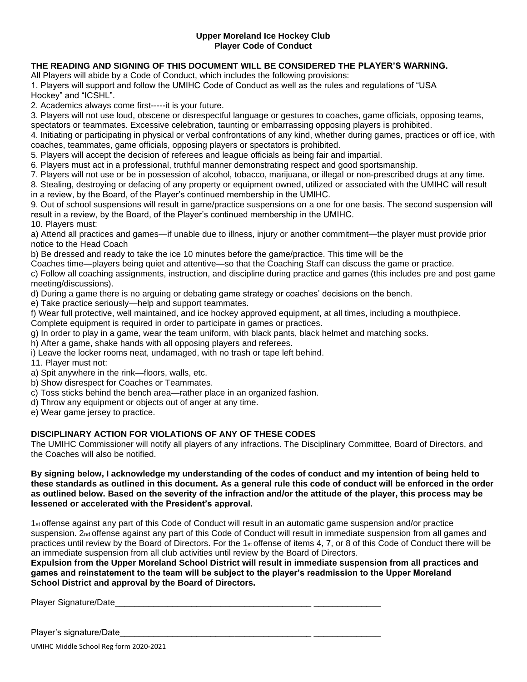#### **Upper Moreland Ice Hockey Club Player Code of Conduct**

#### **THE READING AND SIGNING OF THIS DOCUMENT WILL BE CONSIDERED THE PLAYER'S WARNING.**

All Players will abide by a Code of Conduct, which includes the following provisions:

1. Players will support and follow the UMIHC Code of Conduct as well as the rules and regulations of "USA Hockey" and "ICSHL".

2. Academics always come first-----it is your future.

3. Players will not use loud, obscene or disrespectful language or gestures to coaches, game officials, opposing teams,

spectators or teammates. Excessive celebration, taunting or embarrassing opposing players is prohibited.

4. Initiating or participating in physical or verbal confrontations of any kind, whether during games, practices or off ice, with coaches, teammates, game officials, opposing players or spectators is prohibited.

5. Players will accept the decision of referees and league officials as being fair and impartial.

6. Players must act in a professional, truthful manner demonstrating respect and good sportsmanship.

7. Players will not use or be in possession of alcohol, tobacco, marijuana, or illegal or non-prescribed drugs at any time.

8. Stealing, destroying or defacing of any property or equipment owned, utilized or associated with the UMIHC will result in a review, by the Board, of the Player's continued membership in the UMIHC.

9. Out of school suspensions will result in game/practice suspensions on a one for one basis. The second suspension will result in a review, by the Board, of the Player's continued membership in the UMIHC.

10. Players must:

a) Attend all practices and games—if unable due to illness, injury or another commitment—the player must provide prior notice to the Head Coach

b) Be dressed and ready to take the ice 10 minutes before the game/practice. This time will be the

Coaches time—players being quiet and attentive—so that the Coaching Staff can discuss the game or practice.

c) Follow all coaching assignments, instruction, and discipline during practice and games (this includes pre and post game meeting/discussions).

d) During a game there is no arguing or debating game strategy or coaches' decisions on the bench.

e) Take practice seriously—help and support teammates.

f) Wear full protective, well maintained, and ice hockey approved equipment, at all times, including a mouthpiece.

Complete equipment is required in order to participate in games or practices.

g) In order to play in a game, wear the team uniform, with black pants, black helmet and matching socks.

- h) After a game, shake hands with all opposing players and referees.
- i) Leave the locker rooms neat, undamaged, with no trash or tape left behind.

11. Player must not:

- a) Spit anywhere in the rink—floors, walls, etc.
- b) Show disrespect for Coaches or Teammates.
- c) Toss sticks behind the bench area—rather place in an organized fashion.
- d) Throw any equipment or objects out of anger at any time.
- e) Wear game jersey to practice.

#### **DISCIPLINARY ACTION FOR VIOLATIONS OF ANY OF THESE CODES**

The UMIHC Commissioner will notify all players of any infractions. The Disciplinary Committee, Board of Directors, and the Coaches will also be notified.

#### **By signing below, I acknowledge my understanding of the codes of conduct and my intention of being held to these standards as outlined in this document. As a general rule this code of conduct will be enforced in the order as outlined below. Based on the severity of the infraction and/or the attitude of the player, this process may be lessened or accelerated with the President's approval.**

1st offense against any part of this Code of Conduct will result in an automatic game suspension and/or practice suspension. 2<sub>nd</sub> offense against any part of this Code of Conduct will result in immediate suspension from all games and practices until review by the Board of Directors. For the 1st offense of items 4, 7, or 8 of this Code of Conduct there will be an immediate suspension from all club activities until review by the Board of Directors.

**Expulsion from the Upper Moreland School District will result in immediate suspension from all practices and games and reinstatement to the team will be subject to the player's readmission to the Upper Moreland School District and approval by the Board of Directors.**

Player Signature/Date\_\_\_\_\_\_\_\_\_\_\_\_\_\_\_\_\_\_\_\_\_\_\_\_\_\_\_\_\_\_\_\_\_\_\_\_\_\_\_\_\_ \_\_\_\_\_\_\_\_\_\_\_\_\_\_

Player's signature/Date

UMIHC Middle School Reg form 2020-2021